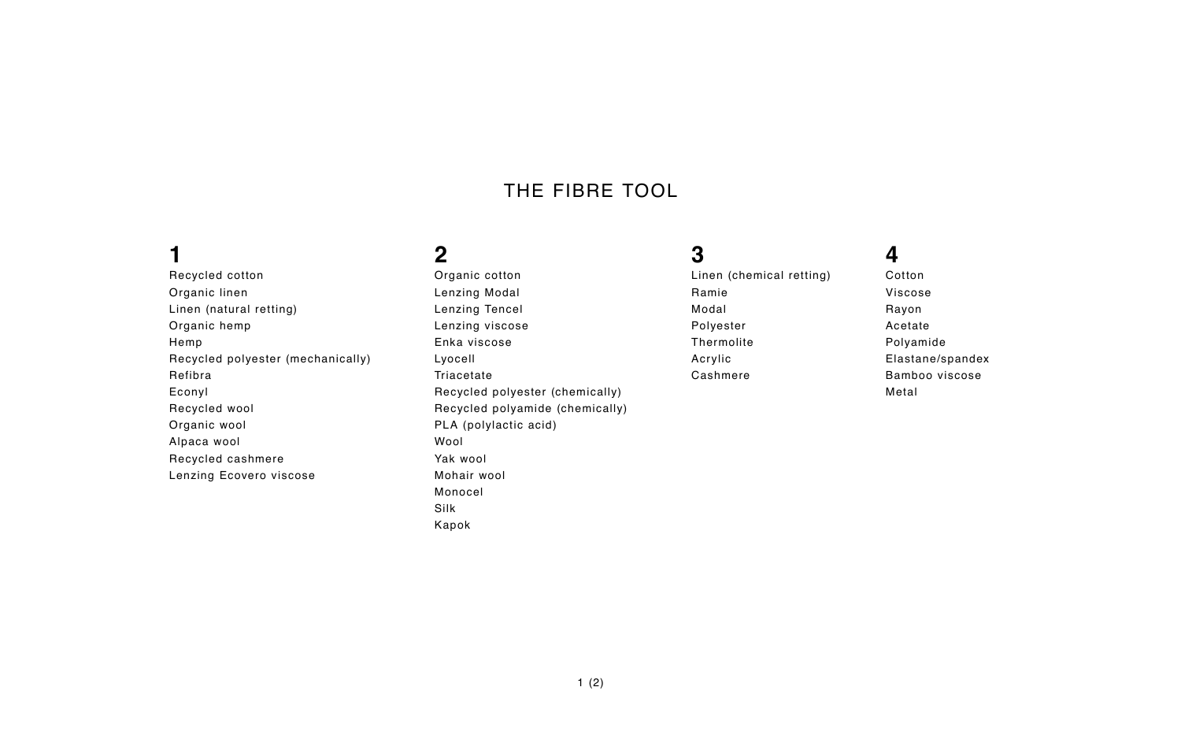### **1**

Recycled cotton Organic linen Linen (natural retting) Organic hemp Hemp Recycled polyester (mechanically) Refibra Econyl Recycled wool Organic wool Alpaca wool Recycled cashmere Lenzing Ecovero viscose

# **2**

Organic cotton Lenzing Modal Lenzing Tencel Lenzing viscose Enka viscose Lyocell Triacetate Recycled polyester (chemically) Recycled polyamide (chemically) PLA (polylactic acid) Wool Yak wool Mohair wool Monocel Silk Kapok

# **3**

Linen (chemical retting) Ramie Modal Polyester Thermolite Acrylic Cashmere

# **4**

Cotton Viscose Rayon Acetate Polyamide Elastane/spandex Bamboo viscose Metal

## THE FIBRE TOOL